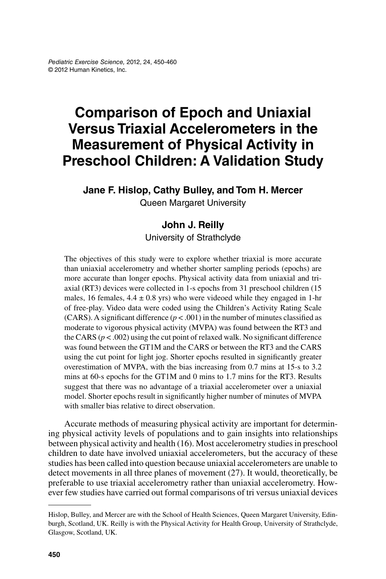# **Comparison of Epoch and Uniaxial Versus Triaxial Accelerometers in the Measurement of Physical Activity in Preschool Children: A Validation Study**

**Jane F. Hislop, Cathy Bulley, and Tom H. Mercer**

Queen Margaret University

### **John J. Reilly**

University of Strathclyde

The objectives of this study were to explore whether triaxial is more accurate than uniaxial accelerometry and whether shorter sampling periods (epochs) are more accurate than longer epochs. Physical activity data from uniaxial and triaxial (RT3) devices were collected in 1-s epochs from 31 preschool children (15 males, 16 females,  $4.4 \pm 0.8$  yrs) who were videoed while they engaged in 1-hr of free-play. Video data were coded using the Children's Activity Rating Scale (CARS). A significant difference ( $p < .001$ ) in the number of minutes classified as moderate to vigorous physical activity (MVPA) was found between the RT3 and the CARS  $(p < .002)$  using the cut point of relaxed walk. No significant difference was found between the GT1M and the CARS or between the RT3 and the CARS using the cut point for light jog. Shorter epochs resulted in significantly greater overestimation of MVPA, with the bias increasing from 0.7 mins at 15-s to 3.2 mins at 60-s epochs for the GT1M and 0 mins to 1.7 mins for the RT3. Results suggest that there was no advantage of a triaxial accelerometer over a uniaxial model. Shorter epochs result in significantly higher number of minutes of MVPA with smaller bias relative to direct observation.

Accurate methods of measuring physical activity are important for determining physical activity levels of populations and to gain insights into relationships between physical activity and health (16). Most accelerometry studies in preschool children to date have involved uniaxial accelerometers, but the accuracy of these studies has been called into question because uniaxial accelerometers are unable to detect movements in all three planes of movement (27). It would, theoretically, be preferable to use triaxial accelerometry rather than uniaxial accelerometry. However few studies have carried out formal comparisons of tri versus uniaxial devices

Hislop, Bulley, and Mercer are with the School of Health Sciences, Queen Margaret University, Edinburgh, Scotland, UK. Reilly is with the Physical Activity for Health Group, University of Strathclyde, Glasgow, Scotland, UK.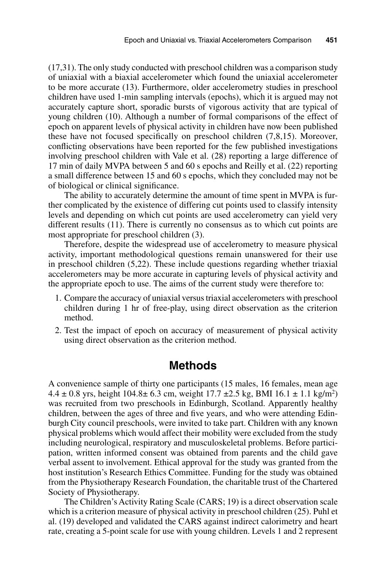(17,31). The only study conducted with preschool children was a comparison study of uniaxial with a biaxial accelerometer which found the uniaxial accelerometer to be more accurate (13). Furthermore, older accelerometry studies in preschool children have used 1-min sampling intervals (epochs), which it is argued may not accurately capture short, sporadic bursts of vigorous activity that are typical of young children (10). Although a number of formal comparisons of the effect of epoch on apparent levels of physical activity in children have now been published these have not focused specifically on preschool children (7,8,15). Moreover, conflicting observations have been reported for the few published investigations involving preschool children with Vale et al. (28) reporting a large difference of 17 min of daily MVPA between 5 and 60 s epochs and Reilly et al. (22) reporting a small difference between 15 and 60 s epochs, which they concluded may not be of biological or clinical significance.

The ability to accurately determine the amount of time spent in MVPA is further complicated by the existence of differing cut points used to classify intensity levels and depending on which cut points are used accelerometry can yield very different results (11). There is currently no consensus as to which cut points are most appropriate for preschool children (3).

Therefore, despite the widespread use of accelerometry to measure physical activity, important methodological questions remain unanswered for their use in preschool children (5,22). These include questions regarding whether triaxial accelerometers may be more accurate in capturing levels of physical activity and the appropriate epoch to use. The aims of the current study were therefore to:

- 1. Compare the accuracy of uniaxial versus triaxial accelerometers with preschool children during 1 hr of free-play, using direct observation as the criterion method.
- 2. Test the impact of epoch on accuracy of measurement of physical activity using direct observation as the criterion method.

#### **Methods**

A convenience sample of thirty one participants (15 males, 16 females, mean age  $4.4 \pm 0.8$  yrs, height  $104.8 \pm 6.3$  cm, weight  $17.7 \pm 2.5$  kg, BMI  $16.1 \pm 1.1$  kg/m<sup>2</sup>) was recruited from two preschools in Edinburgh, Scotland. Apparently healthy children, between the ages of three and five years, and who were attending Edinburgh City council preschools, were invited to take part. Children with any known physical problems which would affect their mobility were excluded from the study including neurological, respiratory and musculoskeletal problems. Before participation, written informed consent was obtained from parents and the child gave verbal assent to involvement. Ethical approval for the study was granted from the host institution's Research Ethics Committee. Funding for the study was obtained from the Physiotherapy Research Foundation, the charitable trust of the Chartered Society of Physiotherapy.

The Children's Activity Rating Scale (CARS; 19) is a direct observation scale which is a criterion measure of physical activity in preschool children (25). Puhl et al. (19) developed and validated the CARS against indirect calorimetry and heart rate, creating a 5-point scale for use with young children. Levels 1 and 2 represent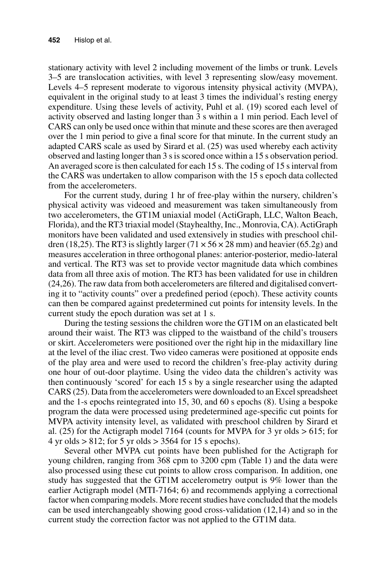stationary activity with level 2 including movement of the limbs or trunk. Levels 3–5 are translocation activities, with level 3 representing slow/easy movement. Levels 4–5 represent moderate to vigorous intensity physical activity (MVPA), equivalent in the original study to at least 3 times the individual's resting energy expenditure. Using these levels of activity, Puhl et al. (19) scored each level of activity observed and lasting longer than 3 s within a 1 min period. Each level of CARS can only be used once within that minute and these scores are then averaged over the 1 min period to give a final score for that minute. In the current study an adapted CARS scale as used by Sirard et al. (25) was used whereby each activity observed and lasting longer than 3 s is scored once within a 15 s observation period. An averaged score is then calculated for each 15 s. The coding of 15 s interval from the CARS was undertaken to allow comparison with the 15 s epoch data collected from the accelerometers.

For the current study, during 1 hr of free-play within the nursery, children's physical activity was videoed and measurement was taken simultaneously from two accelerometers, the GT1M uniaxial model (ActiGraph, LLC, Walton Beach, Florida), and the RT3 triaxial model (Stayhealthy, Inc., Monrovia, CA). ActiGraph monitors have been validated and used extensively in studies with preschool children (18,25). The RT3 is slightly larger ( $71 \times 56 \times 28$  mm) and heavier (65.2g) and measures acceleration in three orthogonal planes: anterior-posterior, medio-lateral and vertical. The RT3 was set to provide vector magnitude data which combines data from all three axis of motion. The RT3 has been validated for use in children (24,26). The raw data from both accelerometers are filtered and digitalised converting it to "activity counts" over a predefined period (epoch). These activity counts can then be compared against predetermined cut points for intensity levels. In the current study the epoch duration was set at 1 s.

During the testing sessions the children wore the GT1M on an elasticated belt around their waist. The RT3 was clipped to the waistband of the child's trousers or skirt. Accelerometers were positioned over the right hip in the midaxillary line at the level of the iliac crest. Two video cameras were positioned at opposite ends of the play area and were used to record the children's free-play activity during one hour of out-door playtime. Using the video data the children's activity was then continuously 'scored' for each 15 s by a single researcher using the adapted CARS (25). Data from the accelerometers were downloaded to an Excel spreadsheet and the 1-s epochs reintegrated into 15, 30, and 60 s epochs (8). Using a bespoke program the data were processed using predetermined age-specific cut points for MVPA activity intensity level, as validated with preschool children by Sirard et al. (25) for the Actigraph model 7164 (counts for MVPA for 3 yr olds  $> 615$ ; for  $4 \text{ yr}$  olds  $> 812$ ; for  $5 \text{ yr}$  olds  $> 3564$  for 15 s epochs).

Several other MVPA cut points have been published for the Actigraph for young children, ranging from 368 cpm to 3200 cpm (Table 1) and the data were also processed using these cut points to allow cross comparison. In addition, one study has suggested that the GT1M accelerometry output is 9% lower than the earlier Actigraph model (MTI-7164; 6) and recommends applying a correctional factor when comparing models. More recent studies have concluded that the models can be used interchangeably showing good cross-validation (12,14) and so in the current study the correction factor was not applied to the GT1M data.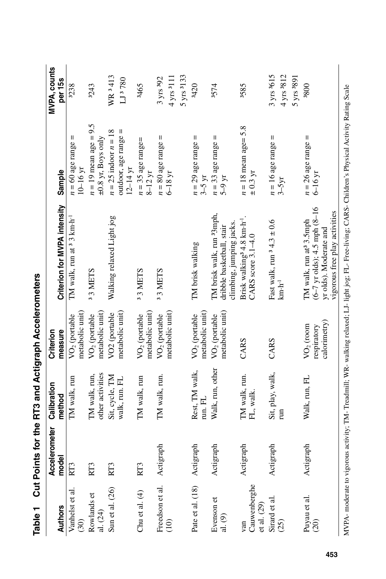| Table 1                              |                        | Cut Points for the RT3 and Actigraph Accelerometers |                                              |                                                                                                                                                         |                                                                  |                                                                        |
|--------------------------------------|------------------------|-----------------------------------------------------|----------------------------------------------|---------------------------------------------------------------------------------------------------------------------------------------------------------|------------------------------------------------------------------|------------------------------------------------------------------------|
| <b>Authors</b>                       | Accelerometer<br>model | Calibration<br>method                               | Criterion<br>measure                         | Criterion for MVPA intensity                                                                                                                            | Sample                                                           | MVPA, counts<br>per 15s                                                |
| Vanhelst et al.<br>(30)              | RT3                    | TM walk, run                                        | metabolic unit<br>VO <sub>2</sub> (portable  | TM walk, run at <sup>3</sup> 3 km·h <sup>-1</sup>                                                                                                       | Ш<br>$n = 60$ age range<br>$10-16$ yr                            | 3238                                                                   |
| Rowlands et<br>al. $(24)$            | RT3                    | other activities<br>TM walk, run,                   | metabolic unit)<br>VO <sub>2</sub> (portable | 33 METS                                                                                                                                                 | $n = 19$ mean age = 9.5<br>$\pm 0.8$ yr, Boys only               | 3243                                                                   |
| Sun et al. (26)                      | RT3                    | Sit, cycle, TM<br>walk, run. FL                     | metabolic unit)<br>VO <sub>2</sub> (portable | Walking relaxed Light jog                                                                                                                               | $n = 25$ indoor $n = 18$<br>outdoor, age range =<br>$12 - 14$ yr | WR <sup>3413</sup><br>LJ 3780                                          |
| Chu et al. $(4)$                     | RT <sub>3</sub>        | TM walk, run                                        | metabolic unit)<br>VO <sub>2</sub> (portable | 33 METS                                                                                                                                                 | $n = 35$ age range=<br>$8-12$ yr                                 | 3465                                                                   |
| Freedson et al.<br>$\widehat{c}$     | Actigraph              | TM walk, run.                                       | metabolic unit<br>VO <sub>2</sub> (portable  | 33 METS                                                                                                                                                 | Ш<br>$n = 80$ age range<br>$6-18$ yr                             | $5 \text{ yrs}$ <sup>3</sup> 133<br>$4 \text{ yrs } 3111$<br>3 yrs 392 |
| Pate et al. (18)                     | Actigraph              | Rest, TM walk,<br>run. FL                           | metabolic unit<br>VO <sub>2</sub> (portable  | TM brisk walking                                                                                                                                        | Ш<br>$n = 29$ age range<br>$3-5 \text{ yr}$                      | 3420                                                                   |
| Evenson et<br>al. (9)                | Actigraph              | Walk, run, other                                    | metabolic unit)<br>VO <sub>2</sub> (portable | TM brisk walk, run <sup>3</sup> 3mph,<br>climbing, jumping jacks.<br>dribble basketball, stair                                                          | Ш<br>$n = 33$ age range<br>$5-9 \text{ yr}$                      | 3574                                                                   |
| Cauwenberghe<br>et al. $(29)$<br>van | Actigraph              | TM walk, run.<br>FL, walk.                          | CARS                                         | Brisk walking <sup>3</sup> 4.8 km·h <sup>-1</sup> .<br>CARS score $3.1 - 4.0$                                                                           | $n = 18$ mean age= 5.8<br>± 0.3 yr                               | 3585                                                                   |
| Sirard et al.<br>(25)                | Actigraph              | Sit, play, walk,<br>E                               | CARS                                         | Fast walk, run $34.3 \pm 0.6$<br>$km \cdot h^{-1}$                                                                                                      | Ш<br>$n = 16$ age range<br>$3-5yr$                               | 3 yrs <sup>3</sup> 615<br>4 yrs 3812<br>$5 \text{ yrs}$ 3891           |
| Puyau et al.<br>(20)                 | Actigraph              | Walk, run, FL                                       | calorimetry)<br>$VO2$ (room<br>respiratory   | $(6-7 \text{ yr olds})$ ; 4.5 mph $(8-16$<br>vigorous free play activities<br>TM walk, run at <sup>3</sup> 3.5mph<br>yr olds). Moderate and             | Ш<br>$n = 26$ age range<br>$6-16$ yr                             | 0085                                                                   |
|                                      |                        |                                                     |                                              | MVPA- moderate to vigorous activity; TM- Treadmill; WR- walking relaxed; LJ- light jog; FL- Free-living; CARS-Children's Physical Activity Rating Scale |                                                                  |                                                                        |

| l<br>I<br>Í                                      |  |
|--------------------------------------------------|--|
| $\overline{a}$<br><u>:</u><br><b>,</b><br>i<br>l |  |
| $\overline{\phantom{a}}$                         |  |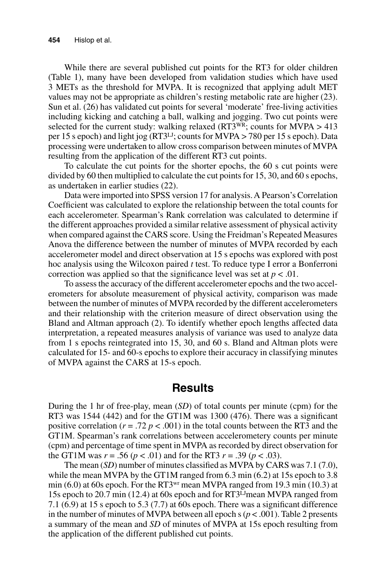While there are several published cut points for the RT3 for older children (Table 1), many have been developed from validation studies which have used 3 METs as the threshold for MVPA. It is recognized that applying adult MET values may not be appropriate as children's resting metabolic rate are higher (23). Sun et al. (26) has validated cut points for several 'moderate' free-living activities including kicking and catching a ball, walking and jogging. Two cut points were selected for the current study: walking relaxed ( $RT3^{WR}$ ; counts for MVPA > 413 per 15 s epoch) and light jog (RT3LJ; counts for MVPA > 780 per 15 s epoch). Data processing were undertaken to allow cross comparison between minutes of MVPA resulting from the application of the different RT3 cut points.

To calculate the cut points for the shorter epochs, the 60 s cut points were divided by 60 then multiplied to calculate the cut points for 15, 30, and 60 s epochs, as undertaken in earlier studies (22).

Data were imported into SPSS version 17 for analysis. A Pearson's Correlation Coefficient was calculated to explore the relationship between the total counts for each accelerometer. Spearman's Rank correlation was calculated to determine if the different approaches provided a similar relative assessment of physical activity when compared against the CARS score. Using the Freidman's Repeated Measures Anova the difference between the number of minutes of MVPA recorded by each accelerometer model and direct observation at 15 s epochs was explored with post hoc analysis using the Wilcoxon paired *t* test. To reduce type I error a Bonferroni correction was applied so that the significance level was set at  $p < .01$ .

To assess the accuracy of the different accelerometer epochs and the two accelerometers for absolute measurement of physical activity, comparison was made between the number of minutes of MVPA recorded by the different accelerometers and their relationship with the criterion measure of direct observation using the Bland and Altman approach (2). To identify whether epoch lengths affected data interpretation, a repeated measures analysis of variance was used to analyze data from 1 s epochs reintegrated into 15, 30, and 60 s. Bland and Altman plots were calculated for 15- and 60-s epochs to explore their accuracy in classifying minutes of MVPA against the CARS at 15-s epoch.

#### **Results**

During the 1 hr of free-play, mean (*SD*) of total counts per minute (cpm) for the RT3 was  $1544$  (442) and for the GT1M was  $1300$  (476). There was a significant positive correlation  $(r = .72 \, p < .001)$  in the total counts between the RT3 and the GT1M. Spearman's rank correlations between accelerometery counts per minute (cpm) and percentage of time spent in MVPA as recorded by direct observation for the GT1M was  $r = .56$  ( $p < .01$ ) and for the RT3  $r = .39$  ( $p < .03$ ).

The mean (*SD*) number of minutes classified as MVPA by CARS was 7.1 (7.0), while the mean MVPA by the GT1M ranged from 6.3 min (6.2) at 15s epoch to 3.8 min (6.0) at 60s epoch. For the RT3<sup>wr</sup> mean MVPA ranged from 19.3 min (10.3) at 15s epoch to 20.7 min (12.4) at 60s epoch and for RT3LJ mean MVPA ranged from 7.1 (6.9) at 15 s epoch to 5.3 (7.7) at 60s epoch. There was a significant difference in the number of minutes of MVPA between all epoch  $s (p < .001)$ . Table 2 presents a summary of the mean and *SD* of minutes of MVPA at 15s epoch resulting from the application of the different published cut points.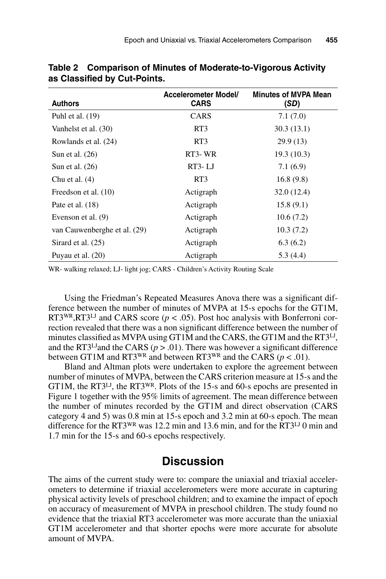| <b>Authors</b>               | <b>Accelerometer Model/</b><br><b>CARS</b> | <b>Minutes of MVPA Mean</b><br>(SD) |
|------------------------------|--------------------------------------------|-------------------------------------|
| Puhl et al. $(19)$           | <b>CARS</b>                                | 7.1(7.0)                            |
| Vanhelst et al. (30)         | RT3                                        | 30.3(13.1)                          |
| Rowlands et al. (24)         | RT3                                        | 29.9(13)                            |
| Sun et al. $(26)$            | RT3-WR                                     | 19.3(10.3)                          |
| Sun et al. $(26)$            | RT3-LJ                                     | 7.1(6.9)                            |
| Chu et al. $(4)$             | RT3                                        | 16.8(9.8)                           |
| Freedson et al. (10)         | Actigraph                                  | 32.0(12.4)                          |
| Pate et al. $(18)$           | Actigraph                                  | 15.8(9.1)                           |
| Evenson et al. (9)           | Actigraph                                  | 10.6(7.2)                           |
| van Cauwenberghe et al. (29) | Actigraph                                  | 10.3(7.2)                           |
| Sirard et al. (25)           | Actigraph                                  | 6.3(6.2)                            |
| Puyau et al. (20)            | Actigraph                                  | 5.3(4.4)                            |

**Table 2 Comparison of Minutes of Moderate-to-Vigorous Activity as Classified by Cut-Points.**

WR- walking relaxed; LJ- light jog; CARS - Children's Activity Routing Scale

Using the Friedman's Repeated Measures Anova there was a significant difference between the number of minutes of MVPA at 15-s epochs for the GT1M, RT3<sup>WR</sup>,RT3<sup>LJ</sup> and CARS score ( $p < .05$ ). Post hoc analysis with Bonferroni correction revealed that there was a non significant difference between the number of minutes classified as MVPA using GT1M and the CARS, the GT1M and the RT3<sup>LJ</sup>, and the RT3<sup>LJ</sup>and the CARS ( $p > .01$ ). There was however a significant difference between GT1M and RT3<sup>WR</sup> and between RT3<sup>WR</sup> and the CARS ( $p < .01$ ).

Bland and Altman plots were undertaken to explore the agreement between number of minutes of MVPA, between the CARS criterion measure at 15-s and the GT1M, the RT3<sup>LJ</sup>, the RT3<sup>WR</sup>. Plots of the 15-s and 60-s epochs are presented in Figure 1 together with the 95% limits of agreement. The mean difference between the number of minutes recorded by the GT1M and direct observation (CARS category 4 and 5) was 0.8 min at 15-s epoch and 3.2 min at 60-s epoch. The mean difference for the RT3<sup>WR</sup> was 12.2 min and 13.6 min, and for the RT3<sup>LJ</sup> 0 min and 1.7 min for the 15-s and 60-s epochs respectively.

## **Discussion**

The aims of the current study were to: compare the uniaxial and triaxial accelerometers to determine if triaxial accelerometers were more accurate in capturing physical activity levels of preschool children; and to examine the impact of epoch on accuracy of measurement of MVPA in preschool children. The study found no evidence that the triaxial RT3 accelerometer was more accurate than the uniaxial GT1M accelerometer and that shorter epochs were more accurate for absolute amount of MVPA.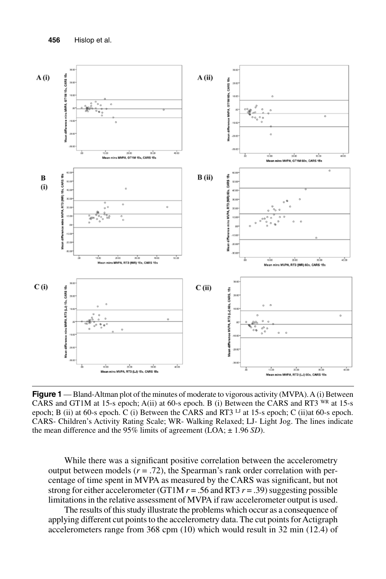

**Figure 1** — Bland-Altman plot of the minutes of moderate to vigorous activity (MVPA). A (i) Between CARS and GT1M at 15-s epoch; A(ii) at 60-s epoch. B (i) Between the CARS and RT3 WR at 15-s epoch; B (ii) at 60-s epoch. C (i) Between the CARS and RT3 LJ at 15-s epoch; C (ii)at 60-s epoch. CARS- Children's Activity Rating Scale; WR- Walking Relaxed; LJ- Light Jog. The lines indicate the mean difference and the 95% limits of agreement (LOA; ± 1.96 *SD*).

While there was a significant positive correlation between the accelerometry output between models  $(r = .72)$ , the Spearman's rank order correlation with percentage of time spent in MVPA as measured by the CARS was significant, but not strong for either accelerometer (GT1M  $r = .56$  and RT3  $r = .39$ ) suggesting possible limitations in the relative assessment of MVPA if raw accelerometer output is used.

The results of this study illustrate the problems which occur as a consequence of applying different cut points to the accelerometry data. The cut points for Actigraph accelerometers range from 368 cpm (10) which would result in 32 min (12.4) of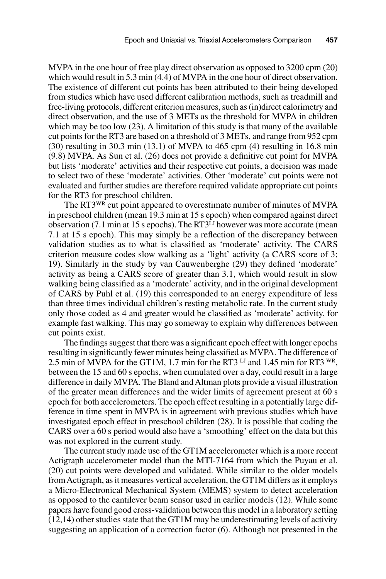MVPA in the one hour of free play direct observation as opposed to 3200 cpm (20) which would result in 5.3 min (4.4) of MVPA in the one hour of direct observation. The existence of different cut points has been attributed to their being developed from studies which have used different calibration methods, such as treadmill and free-living protocols, different criterion measures, such as (in)direct calorimetry and direct observation, and the use of 3 METs as the threshold for MVPA in children which may be too low (23). A limitation of this study is that many of the available cut points for the RT3 are based on a threshold of 3 METs, and range from 952 cpm  $(30)$  resulting in 30.3 min  $(13.1)$  of MVPA to 465 cpm  $(4)$  resulting in 16.8 min (9.8) MVPA. As Sun et al. (26) does not provide a definitive cut point for MVPA but lists 'moderate' activities and their respective cut points, a decision was made to select two of these 'moderate' activities. Other 'moderate' cut points were not evaluated and further studies are therefore required validate appropriate cut points for the RT3 for preschool children.

The RT3WR cut point appeared to overestimate number of minutes of MVPA in preschool children (mean 19.3 min at 15 s epoch) when compared against direct observation (7.1 min at 15 s epochs). The RT3LJ however was more accurate (mean 7.1 at 15 s epoch). This may simply be a reflection of the discrepancy between validation studies as to what is classified as 'moderate' activity. The CARS criterion measure codes slow walking as a 'light' activity (a CARS score of 3; 19). Similarly in the study by van Cauwenberghe (29) they defined 'moderate' activity as being a CARS score of greater than 3.1, which would result in slow walking being classified as a 'moderate' activity, and in the original development of CARS by Puhl et al. (19) this corresponded to an energy expenditure of less than three times individual children's resting metabolic rate. In the current study only those coded as 4 and greater would be classified as 'moderate' activity, for example fast walking. This may go someway to explain why differences between cut points exist.

The findings suggest that there was a significant epoch effect with longer epochs resulting in significantly fewer minutes being classified as MVPA. The difference of 2.5 min of MVPA for the GT1M, 1.7 min for the RT3 LJ and 1.45 min for RT3 WR, between the 15 and 60 s epochs, when cumulated over a day, could result in a large difference in daily MVPA. The Bland and Altman plots provide a visual illustration of the greater mean differences and the wider limits of agreement present at 60 s epoch for both accelerometers. The epoch effect resulting in a potentially large difference in time spent in MVPA is in agreement with previous studies which have investigated epoch effect in preschool children (28). It is possible that coding the CARS over a 60 s period would also have a 'smoothing' effect on the data but this was not explored in the current study.

The current study made use of the GT1M accelerometer which is a more recent Actigraph accelerometer model than the MTI-7164 from which the Puyau et al. (20) cut points were developed and validated. While similar to the older models from Actigraph, as it measures vertical acceleration, the GT1M differs as it employs a Micro-Electronical Mechanical System (MEMS) system to detect acceleration as opposed to the cantilever beam sensor used in earlier models (12). While some papers have found good cross-validation between this model in a laboratory setting  $(12,14)$  other studies state that the GT1M may be underestimating levels of activity suggesting an application of a correction factor (6). Although not presented in the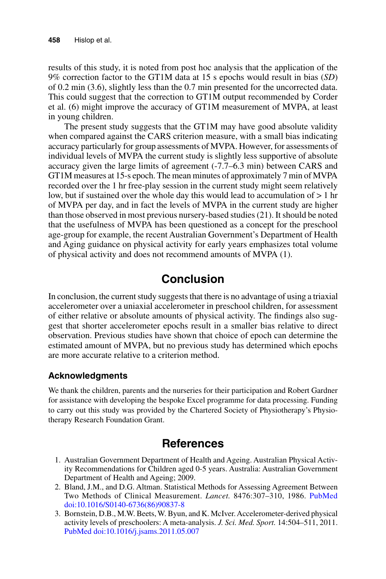results of this study, it is noted from post hoc analysis that the application of the 9% correction factor to the GT1M data at 15 s epochs would result in bias (*SD*) of 0.2 min (3.6), slightly less than the 0.7 min presented for the uncorrected data. This could suggest that the correction to GT1M output recommended by Corder et al. (6) might improve the accuracy of GT1M measurement of MVPA, at least in young children.

The present study suggests that the GT1M may have good absolute validity when compared against the CARS criterion measure, with a small bias indicating accuracy particularly for group assessments of MVPA. However, for assessments of individual levels of MVPA the current study is slightly less supportive of absolute accuracy given the large limits of agreement (-7.7–6.3 min) between CARS and GT1M measures at 15-s epoch. The mean minutes of approximately 7 min of MVPA recorded over the 1 hr free-play session in the current study might seem relatively low, but if sustained over the whole day this would lead to accumulation of > 1 hr of MVPA per day, and in fact the levels of MVPA in the current study are higher than those observed in most previous nursery-based studies (21). It should be noted that the usefulness of MVPA has been questioned as a concept for the preschool age-group for example, the recent Australian Government's Department of Health and Aging guidance on physical activity for early years emphasizes total volume of physical activity and does not recommend amounts of MVPA (1).

## **Conclusion**

In conclusion, the current study suggests that there is no advantage of using a triaxial accelerometer over a uniaxial accelerometer in preschool children, for assessment of either relative or absolute amounts of physical activity. The findings also suggest that shorter accelerometer epochs result in a smaller bias relative to direct observation. Previous studies have shown that choice of epoch can determine the estimated amount of MVPA, but no previous study has determined which epochs are more accurate relative to a criterion method.

#### **Acknowledgments**

We thank the children, parents and the nurseries for their participation and Robert Gardner for assistance with developing the bespoke Excel programme for data processing. Funding to carry out this study was provided by the Chartered Society of Physiotherapy's Physiotherapy Research Foundation Grant.

## **References**

- 1. Australian Government Department of Health and Ageing. Australian Physical Activity Recommendations for Children aged 0-5 years. Australia: Australian Government Department of Health and Ageing; 2009.
- 2. Bland, J.M., and D.G. Altman. Statistical Methods for Assessing Agreement Between Two Methods of Clinical Measurement. *Lancet.* 8476:307–310, 1986. [PubMed](http://www.ncbi.nlm.nih.gov/entrez/query.fcgi?cmd=Retrieve&db=PubMed&list_uids=2868172&dopt=Abstract) [doi:10.1016/S0140-6736\(86\)90837-8](http://dx.doi.org/10.1016/S0140-6736(86)90837-8)
- 3. Bornstein, D.B., M.W. Beets, W. Byun, and K. McIver. Accelerometer-derived physical activity levels of preschoolers: A meta-analysis. *J. Sci. Med. Sport.* 14:504–511, 2011. [PubMed](http://www.ncbi.nlm.nih.gov/entrez/query.fcgi?cmd=Retrieve&db=PubMed&list_uids=21684809&dopt=Abstract) [doi:10.1016/j.jsams.2011.05.007](http://dx.doi.org/10.1016/j.jsams.2011.05.007)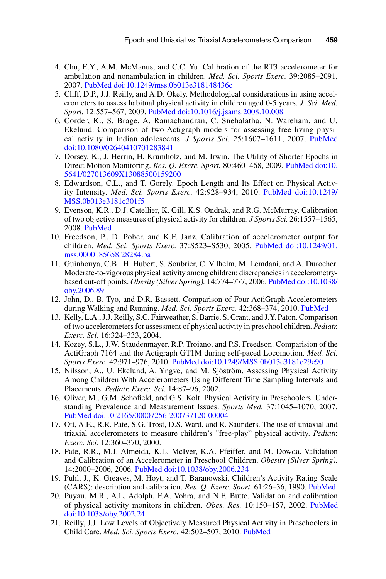- 4. Chu, E.Y., A.M. McManus, and C.C. Yu. Calibration of the RT3 accelerometer for ambulation and nonambulation in children. *Med. Sci. Sports Exerc.* 39:2085–2091, 2007[. PubMed](http://www.ncbi.nlm.nih.gov/entrez/query.fcgi?cmd=Retrieve&db=PubMed&list_uids=17986919&dopt=Abstract) [doi:10.1249/mss.0b013e318148436c](http://dx.doi.org/10.1249/mss.0b013e318148436c)
- 5. Cliff, D.P., J.J. Reilly, and A.D. Okely. Methodological considerations in using accelerometers to assess habitual physical activity in children aged 0-5 years. *J. Sci. Med. Sport.* 12:557–567, 2009. [PubMed](http://www.ncbi.nlm.nih.gov/entrez/query.fcgi?cmd=Retrieve&db=PubMed&list_uids=19147404&dopt=Abstract) [doi:10.1016/j.jsams.2008.10.008](http://dx.doi.org/10.1016/j.jsams.2008.10.008)
- 6. Corder, K., S. Brage, A. Ramachandran, C. Snehalatha, N. Wareham, and U. Ekelund. Comparison of two Actigraph models for assessing free-living physical activity in Indian adolescents. *J Sports Sci.* 25:1607–1611, 2007. [PubMed](http://www.ncbi.nlm.nih.gov/entrez/query.fcgi?cmd=Retrieve&db=PubMed&list_uids=17852668&dopt=Abstract) [doi:10.1080/02640410701283841](http://dx.doi.org/10.1080/02640410701283841)
- 7. Dorsey, K., J. Herrin, H. Krumholz, and M. Irwin. The Utility of Shorter Epochs in Direct Motion Monitoring. *Res. Q. Exerc. Sport.* 80:460–468, 2009[. PubMed](http://www.ncbi.nlm.nih.gov/entrez/query.fcgi?cmd=Retrieve&db=PubMed&list_uids=19791632&dopt=Abstract) [doi:10.](http://dx.doi.org/10.5641/027013609X13088500159200) [5641/027013609X13088500159200](http://dx.doi.org/10.5641/027013609X13088500159200)
- 8. Edwardson, C.L., and T. Gorely. Epoch Length and Its Effect on Physical Activity Intensity. *Med. Sci. Sports Exerc.* 42:928–934, 2010[. PubMed](http://www.ncbi.nlm.nih.gov/entrez/query.fcgi?cmd=Retrieve&db=PubMed&list_uids=19996997&dopt=Abstract) [doi:10.1249/](http://dx.doi.org/10.1249/MSS.0b013e3181c301f5) [MSS.0b013e3181c301f5](http://dx.doi.org/10.1249/MSS.0b013e3181c301f5)
- 9. Evenson, K.R., D.J. Catellier, K. Gill, K.S. Ondrak, and R.G. McMurray. Calibration of two objective measures of physical activity for children. *J Sports Sci.* 26:1557–1565, 2008[. PubMed](http://www.ncbi.nlm.nih.gov/entrez/query.fcgi?cmd=Retrieve&db=PubMed&list_uids=18949660&dopt=Abstract)
- 10. Freedson, P., D. Pober, and K.F. Janz. Calibration of accelerometer output for children. *Med. Sci. Sports Exerc.* 37:S523–S530, 2005. [PubMed](http://www.ncbi.nlm.nih.gov/entrez/query.fcgi?cmd=Retrieve&db=PubMed&list_uids=16294115&dopt=Abstract) [doi:10.1249/01.](http://dx.doi.org/10.1249/01.mss.0000185658.28284.ba) [mss.0000185658.28284.ba](http://dx.doi.org/10.1249/01.mss.0000185658.28284.ba)
- 11. Guinhouya, C.B., H. Hubert, S. Soubrier, C. Vilhelm, M. Lemdani, and A. Durocher. Moderate-to-vigorous physical activity among children: discrepancies in accelerometrybased cut-off points. *Obesity (Silver Spring).* 14:774–777, 2006. [PubMed](http://www.ncbi.nlm.nih.gov/entrez/query.fcgi?cmd=Retrieve&db=PubMed&list_uids=16855185&dopt=Abstract) [doi:10.1038/](http://dx.doi.org/10.1038/oby.2006.89) [oby.2006.89](http://dx.doi.org/10.1038/oby.2006.89)
- 12. John, D., B. Tyo, and D.R. Bassett. Comparison of Four ActiGraph Accelerometers during Walking and Running. *Med. Sci. Sports Exerc.* 42:368–374, 2010. [PubMed](http://www.ncbi.nlm.nih.gov/entrez/query.fcgi?cmd=Retrieve&db=PubMed&list_uids=19927022&dopt=Abstract)
- 13. Kelly, L.A., J.J. Reilly, S.C. Fairweather, S. Barrie, S. Grant, and J.Y. Paton. Comparison of two accelerometers for assessment of physical activity in preschool children. *Pediatr. Exerc. Sci.* 16:324–333, 2004.
- 14. Kozey, S.L., J.W. Staudenmayer, R.P. Troiano, and P.S. Freedson. Comparision of the ActiGraph 7164 and the Actigraph GT1M during self-paced Locomotion. *Med. Sci. Sports Exerc.* 42:971–976, 2010[. PubMed](http://www.ncbi.nlm.nih.gov/entrez/query.fcgi?cmd=Retrieve&db=PubMed&list_uids=19997000&dopt=Abstract) [doi:10.1249/MSS.0b013e3181c29e90](http://dx.doi.org/10.1249/MSS.0b013e3181c29e90)
- 15. Nilsson, A., U. Ekelund, A. Yngve, and M. Sjöström. Assessing Physical Activity Among Children With Accelerometers Using Different Time Sampling Intervals and Placements. *Pediatr. Exerc. Sci.* 14:87–96, 2002.
- 16. Oliver, M., G.M. Schofield, and G.S. Kolt. Physical Activity in Preschoolers. Understanding Prevalence and Measurement Issues. *Sports Med.* 37:1045–1070, 2007. [PubMed](http://www.ncbi.nlm.nih.gov/entrez/query.fcgi?cmd=Retrieve&db=PubMed&list_uids=18027993&dopt=Abstract) [doi:10.2165/00007256-200737120-00004](http://dx.doi.org/10.2165/00007256-200737120-00004)
- 17. Ott, A.E., R.R. Pate, S.G. Trost, D.S. Ward, and R. Saunders. The use of uniaxial and triaxial accelerometers to measure children's "free-play" physical activity. *Pediatr. Exerc. Sci.* 12:360–370, 2000.
- 18. Pate, R.R., M.J. Almeida, K.L. McIver, K.A. Pfeiffer, and M. Dowda. Validation and Calibration of an Accelerometer in Preschool Children. *Obesity (Silver Spring).* 14:2000–2006, 2006. [PubMed](http://www.ncbi.nlm.nih.gov/entrez/query.fcgi?cmd=Retrieve&db=PubMed&list_uids=17135617&dopt=Abstract) [doi:10.1038/oby.2006.234](http://dx.doi.org/10.1038/oby.2006.234)
- 19. Puhl, J., K. Greaves, M. Hoyt, and T. Baranowski. Children's Activity Rating Scale (CARS): description and calibration. *Res. Q. Exerc. Sport.* 61:26–36, 1990[. PubMed](http://www.ncbi.nlm.nih.gov/entrez/query.fcgi?cmd=Retrieve&db=PubMed&list_uids=2091164&dopt=Abstract)
- 20. Puyau, M.R., A.L. Adolph, F.A. Vohra, and N.F. Butte. Validation and calibration of physical activity monitors in children. *Obes. Res.* 10:150–157, 2002. [PubMed](http://www.ncbi.nlm.nih.gov/entrez/query.fcgi?cmd=Retrieve&db=PubMed&list_uids=11886937&dopt=Abstract) [doi:10.1038/oby.2002.24](http://dx.doi.org/10.1038/oby.2002.24)
- 21. Reilly, J.J. Low Levels of Objectively Measured Physical Activity in Preschoolers in Child Care. *Med. Sci. Sports Exerc.* 42:502–507, 2010. [PubMed](http://www.ncbi.nlm.nih.gov/entrez/query.fcgi?cmd=Retrieve&db=PubMed&list_uids=20068499&dopt=Abstract)